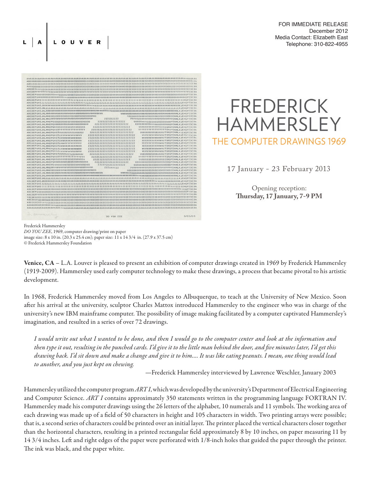## FOR IMMEDIATE RELEASE December 2012 Media Contact: Elizabeth East Telephone: 310-822-4955



LOUVER

**FREDERICK HAMMERSLEY** THE COMPUTER DRAWINGS 1969

17 January - 23 February 2013

Opening reception: **Thursday, 17 January, 7-9 PM**

Frederick Hammersley *DO YOU ZEE*, 1969, computer drawing/print on paper image size: 8 x 10 in. (20.3 x 25.4 cm); paper size: 11 x 14 3/4 in. (27.9 x 37.5 cm) © Frederick Hammersley Foundation

Venice, CA – L.A. Louver is pleased to present an exhibition of computer drawings created in 1969 by Frederick Hammersley (1919-2009). Hammersley used early computer technology to make these drawings, a process that became pivotal to his artistic development.

In 1968, Frederick Hammersley moved from Los Angeles to Albuquerque, to teach at the University of New Mexico. Soon after his arrival at the university, sculptor Charles Mattox introduced Hammersley to the engineer who was in charge of the university's new IBM mainframe computer. The possibility of image making facilitated by a computer captivated Hammersley's imagination, and resulted in a series of over 72 drawings.

*I would write out what I wanted to be done, and then I would go to the computer center and look at the information and then type it out, resulting in the punched cards. I'd give it to the little man behind the door, and five minutes later, I'd get this drawing back. I'd sit down and make a change and give it to him…. It was like eating peanuts. I mean, one thing would lead to another, and you just kept on chewing.*

—Frederick Hammersley interviewed by Lawrence Weschler, January 2003

Hammersley utilized the computer program *ART I*, which was developed by the university's Department of Electrical Engineering and Computer Science. *ART I* contains approximately 350 statements written in the programming language FORTRAN IV. Hammersley made his computer drawings using the 26 letters of the alphabet, 10 numerals and 11 symbols. The working area of each drawing was made up of a field of 50 characters in height and 105 characters in width. Two printing arrays were possible; that is, a second series of characters could be printed over an initial layer. The printer placed the vertical characters closer together than the horizontal characters, resulting in a printed rectangular field approximately 8 by 10 inches, on paper measuring 11 by 14 3/4 inches. Left and right edges of the paper were perforated with 1/8-inch holes that guided the paper through the printer. The ink was black, and the paper white.